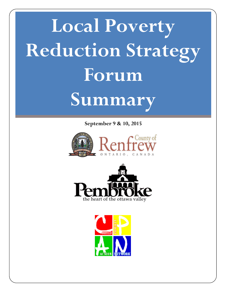# **Local Poverty Reduction Strategy Forum Summary**

**September 9 & 10, 2015**





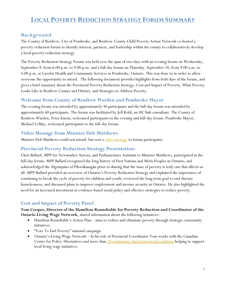# **LOCAL POVERTY REDUCTION STRATEGY FORUM SUMMARY**

# **Background**

The County of Renfrew, City of Pembroke, and Renfrew County Child Poverty Action Network co-hosted a poverty reduction forum to identify interest, partners, and leadership within the county to collaboratively develop a local poverty reduction strategy.

The Poverty Reduction Strategy Forum was held over the span of two days with an evening forum on Wednesday, September 9, from 6:00 p.m. to 9:00 p.m. and a full-day forum on Thursday, September 10, from 9:00 a.m. to 4:00 p.m. at Carefor Health and Community Services in Pembroke, Ontario. This was done to in order to allow everyone the opportunity to attend. The following document provides highlights from both days of the forum, and gives a brief summary about the Provincial Poverty Reduction Strategy, Cost and Impact of Poverty, What Poverty Looks Like in Renfrew County and District, and Strategies to Address Poverty.

#### **Welcome from County of Renfrew Warden and Pembroke Mayor**

The evening forum was attended by approximately 40 participants and the full-day forum was attended by approximately 60 participants. The forum was facilitated by Jeff Kohl, an HC link consultant. The County of Renfrew Warden, Peter Emon, welcomed participants to the evening and full-day forum. Pembroke Mayor, Michael LeMay, welcomed participants to the full-day forum.

#### **Video Message from Minister Deb Matthews**

Minister Deb Matthews could not attend, but sent a video [message](https://youtu.be/myyjcVr7HEg) to forum participants.

#### **Provincial Poverty Reduction Strategy Presentation:**

Chris Ballard, MPP for Newmarket Aurora, and Parliamentary Assistant to Minister Matthews, participated in the full-day forum. MPP Ballard recognized the long history of First Nations and Métis Peoples in Ontario, and acknowledged the Algonquins of Pikwàkanagàn prior to sharing that the issue of poverty is truly one that affects us all. MPP Ballard provided an overview of Ontario's Poverty Reduction Strategy and explained the importance of continuing to break the cycle of poverty for children and youth, reviewed the long term goal to end chronic homelessness, and discussed plans to improve employment and income security in Ontario. He also highlighted the need for an increased investment in evidence-based social policy and effective strategies to reduce poverty.

# **Cost and Impact of Poverty Panel**

**Tom Cooper, Director of the Hamilton Roundtable for Poverty Reduction and Coordinator of the Ontario Living Wage Network**, shared information about the following initiatives:

- Hamilton Roundtable's Action Plan aims to reduce and eliminate poverty through strategic community initiatives.
- "Vote To End Poverty" national campaign
- Ontario's Living Wage Network In his role of Provincial Coordinator Tom works with the Canadian Centre for Policy Alternatives and more than [20 community-based provincial coalitions](http://www.livingwagecanada.ca/index.php/living-wage-communities/ontario/) helping to support local living wage initiatives.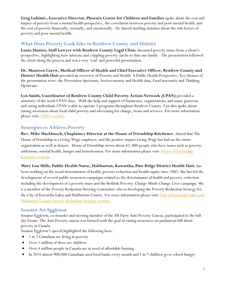**Greg Lubimiv, Executive Director, Phoenix Centre for Children and Families** spoke about the cost and impact of poverty from a mental health perspective, the correlation between poverty and poor mental health, and the cost of poverty financially, mentally, and emotionally. He shared startling statistics about the risk factors of poverty and poor mental health.

# **What Does Poverty Look Like in Renfrew County and District**

**Laura Hunter, Staff Lawyer with Renfrew County Legal Clinic** discussed poverty issues from a client's perspective, highlighting how intricate and crippling poverty can be to that one family. The presentation followed the client along the process and was a very 'real' and powerful presentation.

**Dr. Maureen Carew, Medical Officer of Health and Chief Executive Officer, Renfrew County and District Health Unit** provided an overview of Poverty and Health: A Public Health Perspective. Key themes of the presentation were: the Prevention Spectrum, Socioeconomic and Health data, Food insecurity and Thinking Upstream.

**Lyn Smith, Coordinator of Renfrew County Child Poverty Action Network (CPAN)** provided a summary of the work CPAN does. With the help and support of businesses, organizations, and many generous and caring individuals CPAN is able to operate 5 programs throughout Renfrew County. Lyn also spoke about raising awareness about local child poverty and advocating for change, items and services. For more information please visit: CPAN [website.](http://www.renfrewcountycpan.ca/)

# **Strategies to Address Poverty**

**Rev. Mike Hackbusch, Chaplaincy Director at the House of Friendship Kitchener**, shared that The House of Friendship is a Living Wage employer, and the positive impact Living Wage has had on the entire organization as well as donors. House of Friendship serves about 42, 000 people who have issues such as poverty, addictions, mental health, hunger and homelessness. For more information please visit: House of Friendship [Kitchener website.](http://www.houseoffriendship.org/index.php)

**Mary Lou Mills, Public Health Nurse, Haliburton, Kawartha, Pine Ridge District Health Unit**, has been working on the social determinants of health, poverty reduction and health equity since 2002. She has led the development of several public awareness campaigns related to the determinants of health and poverty reduction including the development of a poverty maze and the Rethink Poverty: Change Minds Change Lives campaign. She is a member of the Poverty Reduction Steering Committee who is developing the Poverty Reduction Strategy for the [City of Kawartha Lakes and](https://www.city.kawarthalakes.on.ca/residents/house-and-home/poverty-reduction-strategy) Haliburton County. For more information please visit: City of Kawartha Lakes and [Haliburton County Poverty Reduction Strategy website.](https://www.city.kawarthalakes.on.ca/residents/house-and-home/poverty-reduction-strategy)

#### **Senator Art Eggleton**

Senator Eggleton, co-founder and steering member of the All-Party Anti-Poverty Caucus, participated in the fullday forum. The Anti-Poverty caucus was formed with the goal of raising awareness on parliament hill about poverty in Canada.

Senator Eggleton's speech highlighted the following facts:

- 1 in 7 Canadians are living in poverty
- Over 1 million of these are children
- Over 4 million people in Canada are in need of affordable housing
- In 2014 almost 900,000 Canadians used food banks every month and 1 in 7 children go to school hungry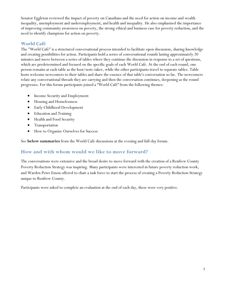Senator Eggleton reviewed the impact of poverty on Canadians and the need for action on income and wealth inequality, unemployment and underemployment, and health and inequality. He also emphasized the importance of improving community awareness on poverty, the strong ethical and business case for poverty reduction, and the need to identify champions for action on poverty.

### **World Café**

The "World Café" is a structured conversational process intended to facilitate open discussion, sharing knowledge and creating possibilities for action. Participants hold a series of conversational rounds lasting approximately 20 minutes and move between a series of tables where they continue the discussion in response to a set of questions, which are predetermined and focused on the specific goals of each World Café. At the end of each round, one person remains at each table as the host/note-taker, while the other participants travel to separate tables. Table hosts welcome newcomers to their tables and share the essence of that table's conversation so far. The newcomers relate any conversational threads they are carrying and then the conversation continues, deepening as the round progresses. For this forum participants joined a "World Café" from the following themes:

- Income Security and Employment
- Housing and Homelessness
- Early Childhood Development
- Education and Training
- Health and Food Security
- **•** Transportation
- How to Organize Ourselves for Success

See **below summaries** from the World Café discussions at the evening and full-day forum.

# **How and with whom would we like to move forward?**

The conversations were extensive and the broad desire to move forward with the creation of a Renfrew County Poverty Reduction Strategy was inspiring. Many participants were interested in future poverty reduction work, and Warden Peter Emon offered to chair a task force to start the process of creating a Poverty Reduction Strategy unique to Renfrew County.

Participants were asked to complete an evaluation at the end of each day, these were very positive.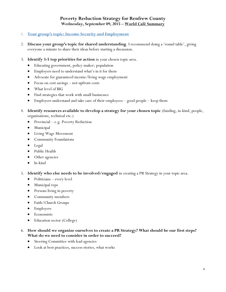# **Poverty Reduction Strategy for Renfrew County Wednesday, September 09, 2015 – World Café Summary**

#### 1. **Your group's topic: Income Security and Employment**

- 2. **Discuss your group's topic for shared understanding**. I recommend doing a 'round table', giving everyone a minute to share their ideas before starting a discussion.
- 3. **Identify 3-5 top priorities for action** in your chosen topic area.
	- Educating government, policy-maker, population
	- Employers need to understand what's in it for them
	- Advocate for guaranteed income/living wage employment
	- Focus on cost savings not upfront costs
	- What level of BIG
	- Find strategies that work with small businesses
	- Employers understand and take care of their employees good people keep them
- 4. **Identify resources available to develop a strategy for your chosen topic** (funding, in-kind, people, organizations, technical etc.)
	- Provincial e.g. Poverty Reduction
	- Municipal
	- Living Wage Movement
	- Community Foundations
	- Legal
	- Public Health
	- Other agencies
	- $\bullet$  In-kind

5. **Identify who else needs to be involved/engaged** in creating a PR Strategy in your topic area.

- Politicians every level
- Municipal reps
- Persons living in poverty
- Community members
- Faith/Church Groups
- Employers
- **•** Economists
- Education sector (College)
- 6. **How should we organize ourselves to create a PR Strategy? What should be our first steps? What do we need to consider in order to succeed?**
	- Steering Committee with lead agencies
	- Look at best practices, success stories, what works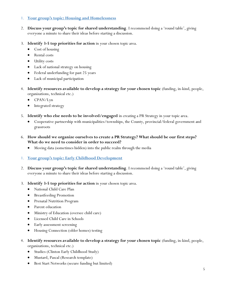#### 1. **Your group's topic: Housing and Homelessness**

- 2. **Discuss your group's topic for shared understanding**. I recommend doing a 'round table', giving everyone a minute to share their ideas before starting a discussion.
- 3. **Identify 3-5 top priorities for action** in your chosen topic area.
	- Cost of housing
	- Rental costs
	- Utility costs
	- Lack of national strategy on housing
	- Federal underfunding for past 25 years
	- Lack of municipal participation
- 4. **Identify resources available to develop a strategy for your chosen topic** (funding, in-kind, people, organizations, technical etc.)
	- CPAN/Lyn
	- Integrated strategy
- 5. **Identify who else needs to be involved/engaged** in creating a PR Strategy in your topic area.
	- Cooperative partnership with municipalities/townships, the County, provincial/federal government and grassroots
- 6. **How should we organize ourselves to create a PR Strategy? What should be our first steps? What do we need to consider in order to succeed?**
	- Moving data (sometimes hidden) into the public realm through the media

#### 1. **Your group's topic: Early Childhood Development**

- 2. **Discuss your group's topic for shared understanding**. I recommend doing a 'round table', giving everyone a minute to share their ideas before starting a discussion.
- 3. **Identify 3-5 top priorities for action** in your chosen topic area.
	- National Child Care Plan
	- Breastfeeding Promotion
	- Prenatal Nutrition Program
	- Parent education
	- Ministry of Education (oversee child care)
	- Licensed Child Care in Schools
	- Early assessment screening
	- Housing Connection (older homes) testing
- 4. **Identify resources available to develop a strategy for your chosen topic** (funding, in-kind, people, organizations, technical etc.)
	- Studies (Clinton Early Childhood Study)
	- Mustard, Pascal (Research template)
	- Best Start Networks (secure funding but limited)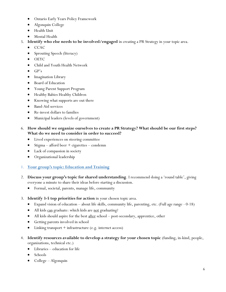- Ontario Early Years Policy Framework
- Algonquin College
- Health Unit
- Mental Health
- 5. **Identify who else needs to be involved/engaged** in creating a PR Strategy in your topic area.
	- $\bullet$  CCAC
	- Sprouting Speech (literacy)
	- OEYC
	- Child and Youth Health Network
	- $\bullet$  GP's
	- $\bullet$  Imagination Library
	- Board of Education
	- Young Parent Support Program
	- Healthy Babies Healthy Children
	- Knowing what supports are out there
	- Band-Aid services
	- Re-invest dollars to families
	- Municipal leaders (levels of government)

#### 6. **How should we organize ourselves to create a PR Strategy? What should be our first steps? What do we need to consider in order to succeed?**

- Lived experiences on steering committee
- Stigma afford beer + cigarettes condemn
- Lack of compassion in society
- Organizational leadership

# 1. **Your group's topic: Education and Training**

- 2. **Discuss your group's topic for shared understanding**. I recommend doing a 'round table', giving everyone a minute to share their ideas before starting a discussion.
	- Formal, societal, parents, manage life, community
- 3. **Identify 3-5 top priorities for action** in your chosen topic area.
	- Expand vision of education about life skills, community life, parenting, etc. (Full age range 0-18)
	- All kids can graduate: which kids are not graduating?
	- All kids should aspire for the best after school post-secondary, apprentice, other
	- Getting parents involved in school
	- Linking transport + infrastructure (e.g. internet access)
- 4. **Identify resources available to develop a strategy for your chosen topic** (funding, in-kind, people, organizations, technical etc.)
	- Libraries education for life
	- Schools
	- College Algonquin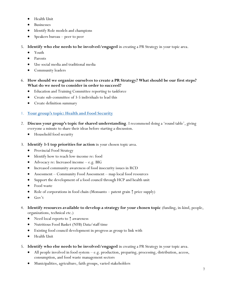- Health Unit
- Businesses
- Identify Role models and champions
- Speakers bureau peer to peer
- 5. **Identify who else needs to be involved/engaged** in creating a PR Strategy in your topic area.
	- Youth
	- Parents
	- Use social media and traditional media
	- Community leaders
- 6. **How should we organize ourselves to create a PR Strategy? What should be our first steps? What do we need to consider in order to succeed?**
	- Education and Training Committee reporting to taskforce
	- Create sub-committee of 3-5 individuals to lead this
	- Create definition summary

# 1. **Your group's topic: Health and Food Security**

- 2. **Discuss your group's topic for shared understanding**. I recommend doing a 'round table', giving everyone a minute to share their ideas before starting a discussion.
	- Household food security
- 3. **Identify 3-5 top priorities for action** in your chosen topic area.
	- Provincial Food Strategy
	- Identify how to reach low-income re: food
	- Advocacy re: Increased income e.g. BIG
	- Increased community awareness of food insecurity issues in RCD
	- Assessment Community Food Assessment map local food resources
	- Support the development of a food council through HCP and health unit
	- Food waste
	- Role of corporations in food chain (Monsanto patent grain ↑ price supply)
	- $\bullet$  Gov't
- 4. **Identify resources available to develop a strategy for your chosen topic** (funding, in-kind, people, organizations, technical etc.)
	- Need local reports to ↑ awareness
	- Nutritious Food Basket (NFB) Data/staff time
	- Existing food council development in progress as group to link with
	- Health Unit
- 5. **Identify who else needs to be involved/engaged** in creating a PR Strategy in your topic area.
	- All people involved in food system e.g. production, preparing, processing, distribution, access, consumption, and food waste management sectors
	- Municipalities, agriculture, faith groups, varied stakeholders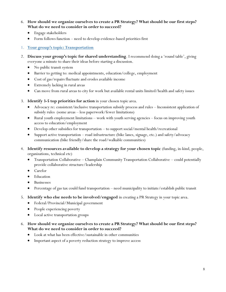- 6. **How should we organize ourselves to create a PR Strategy? What should be our first steps? What do we need to consider in order to succeed?**
	- Engage stakeholders
	- Form follows function need to develop evidence-based priorities first

1. **Your group's topic: Transportation**

- 2. **Discuss your group's topic for shared understanding**. I recommend doing a 'round table', giving everyone a minute to share their ideas before starting a discussion.
	- No public transit system
	- Barrier to getting to: medical appointments, education/college, employment
	- Cost of gas/repairs fluctuate and erodes available income
	- Extremely lacking in rural areas
	- Can move from rural areas to city for work but available rental units limited/health and safety issues
- 3. **Identify 3-5 top priorities for action** in your chosen topic area.
	- Advocacy re: consistent/inclusive transportation subsidy process and rules Inconsistent application of subsidy rules (some areas – less paperwork/fewer limitations)
	- Rural youth employment limitations work with youth serving agencies focus on improving youth access to education/employment
	- Develop other subsidies for transportation to support social/mental health/recreational
	- Support active transportation road infrastructure (bike lanes, signage, etc.) and safety/advocacy communication (bike friendly/share the road/walkable communities)
- 4. **Identify resources available to develop a strategy for your chosen topic** (funding, in-kind, people, organizations, technical etc)
	- Transportation Collaborative Champlain Community Transportation Collaborative could potentially provide collaborative structure/leadership
	- Carefor
	- Education
	- Businesses
	- Percentage of gas tax could fund transportation need municipality to initiate/establish public transit
- 5. **Identify who else needs to be involved/engaged** in creating a PR Strategy in your topic area.
	- Federal/Provincial/Municipal government
	- People experiencing poverty
	- Local active transportation groups
- 6. **How should we organize ourselves to create a PR Strategy? What should be our first steps? What do we need to consider in order to succeed?**
	- Look at what has been effective/sustainable in other communities
	- Important aspect of a poverty reduction strategy to improve access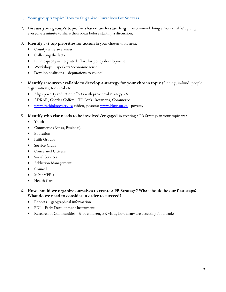#### 1. **Your group's topic: How to Organize Ourselves For Success**

- 2. **Discuss your group's topic for shared understanding**. I recommend doing a 'round table', giving everyone a minute to share their ideas before starting a discussion.
- 3. **Identify 3-5 top priorities for action** in your chosen topic area.
	- County-wide awareness
	- Collecting the facts
	- Build capacity integrated effort for policy development
	- Workshops speakers/economic sense
	- Develop coalitions deputations to council
- 4. **Identify resources available to develop a strategy for your chosen topic** (funding, in-kind, people, organizations, technical etc.)
	- Align poverty reduction efforts with provincial strategy \$
	- ADKAR, Charles Coffey TD Bank, Rotarians, Commerce
	- [www.rethinkpoverty.ca](http://www.rethinkpoverty.ca/) (video, posters) [www.hkpr.on.ca](http://www.hkpr.on.ca/) poverty
- 5. **Identify who else needs to be involved/engaged** in creating a PR Strategy in your topic area.
	- Youth
	- Commerce (Banks, Business)
	- Education
	- Faith Groups
	- Service Clubs
	- Concerned Citizens
	- Social Services
	- Addiction Management
	- Council
	- MPs/MPP's
	- Health Care
- 6. **How should we organize ourselves to create a PR Strategy? What should be our first steps? What do we need to consider in order to succeed?**
	- Reports geographical information
	- EDI Early Development Instrument
	- **•** Research in Communities  $-$  # of children, ER visits, how many are accessing food banks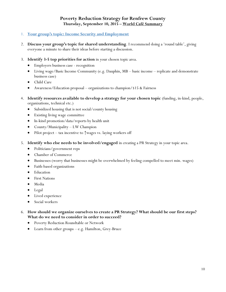# **Poverty Reduction Strategy for Renfrew County Thursday, September 10, 2015 – World Café Summary**

#### 1. **Your group's topic: Income Security and Employment**

- 2. **Discuss your group's topic for shared understanding**. I recommend doing a 'round table', giving everyone a minute to share their ideas before starting a discussion.
- 3. **Identify 3-5 top priorities for action** in your chosen topic area.
	- Employers business case recognition
	- Living wage/Basic Income Community (e.g. Dauphin, MB basic income replicate and demonstrate business case)
	- Child Care
	- Awareness/Education proposal organizations to champion/\$15 & Fairness
- 4. **Identify resources available to develop a strategy for your chosen topic** (funding, in-kind, people, organizations, technical etc.)
	- Subsidized housing that is not social/county housing
	- Existing living wage committee
	- In-kind promotion/data/reports by health unit
	- County/Municipality LW Champion
	- Pilot project tax incentive to ↑wages vs. laying workers off
- 5. **Identify who else needs to be involved/engaged** in creating a PR Strategy in your topic area.
	- Politicians/government reps
	- Chamber of Commerce
	- Businesses (worry that businesses might be overwhelmed by feeling compelled to meet min. wages)
	- Faith-based organizations
	- **•** Education
	- First Nations
	- Media
	- Legal
	- Lived experience
	- Social workers
- 6. **How should we organize ourselves to create a PR Strategy? What should be our first steps? What do we need to consider in order to succeed?**
	- Poverty Reduction Roundtable or Network
	- Learn from other groups e.g. Hamilton, Grey-Bruce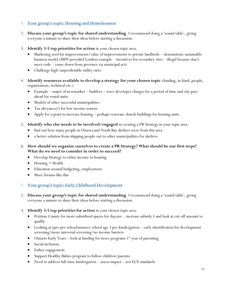#### 1. **Your group's topic: Housing and Homelessness**

- 2. **Discuss your group's topic for shared understanding**. I recommend doing a 'round table', giving everyone a minute to share their ideas before starting a discussion.
- 3. **Identify 3-5 top priorities for action** in your chosen topic area.
	- Marketing seed for improvements/value of improvements to private landlords demonstrate sustainable business model (MPP-provided London example – incentives for secondary sites – illegal because don't meet code – come down from province via municipal act)
	- Challenge high/unpredictable utility rates
- 4. **Identify resources available to develop a strategy for your chosen topic** (funding, in-kind, people, organizations, technical etc.)
	- $\bullet$  Example major of newmarket builders wave developer charges for a period of time and city pays ahead for rental units
	- Models of other successful municipalities
	- Tax abeyance(?) for low income seniors
	- Apply for a grant to increase housing perhaps renovate church buildings for housing units
- 5. **Identify who else needs to be involved/engaged** in creating a PR Strategy in your topic area.
	- find out how many people at Ottawa and North Bay shelters were from this area
	- a better solution from shipping people out to other municipalities for shelters
- 6. **How should we organize ourselves to create a PR Strategy? What should be our first steps? What do we need to consider in order to succeed?**
	- Develop Strategy to relate income to housing
	- Housing = Health
	- Education around budgeting, employment
	- More forums like this
- 1. **Your group's topic: Early Childhood Development**
- 2. **Discuss your group's topic for shared understanding**. I recommend doing a 'round table', giving everyone a minute to share their ideas before starting a discussion.
- 3. **Identify 3-5 top priorities for action** in your chosen topic area.
	- Petition County for more subsidized spaces for daycare increase subsidy \$ and look at cut-off amount to qualify
	- Looking at (pre-pre-school)nursery school age 3 pre-kindergarten early identification for development screening/more universal screening/no income barriers
	- Ontario Early Years look at funding for more programs  $1<sup>st</sup>$  year of parenting
	- Social inclusion
	- Father engagement
	- Support Healthy Babies program to follow children/parents
	- Need to address full-time kindergarten assess impact not ECE standards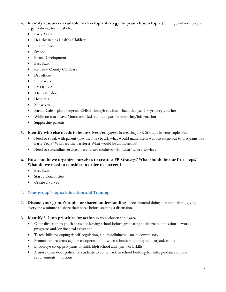- 4. **Identify resources available to develop a strategy for your chosen topic** (funding, in-kind, people, organizations, technical etc.)
	- Early Years
	- Healthy Babies Healthy Children
	- Jubilee Place
	- School
	- Infant Development
	- Best Start
	- Renfrew County Childcare
	- Dr. offices
	- Employers
	- PMFRC (Pet.)
	- KRC (Killaloe)
	- Hospitals
	- Midwives
	- Parent Café pilot program CHEO through toy bus incentive gas  $\frac{1}{2}$  + grocery voucher
	- While on mat. leave Moms and Dads can take part in parenting/information
	- Supporting parents
- 5. **Identify who else needs to be involved/engaged** in creating a PR Strategy in your topic area.
	- Need to speak with parent (low income) to ask what would make them want to come out to programs like Early Years? What are the barriers? What would be an incentive?
	- Need to streamline services, parents are confused with what/where services
- 6. **How should we organize ourselves to create a PR Strategy? What should be our first steps? What do we need to consider in order to succeed?**
	- Best Start
	- Start a Committee
	- Create a Survey

#### 1. **Your group's topic: Education and Training**

- 2. **Discuss your group's topic for shared understanding**. I recommend doing a 'round table', giving everyone a minute to share their ideas before starting a discussion.
- 3. **Identify 3-5 top priorities for action** in your chosen topic area.
	- Offer direction to youth at risk of leaving school before graduating to alternate education  $=$  work programs and/or financial assistance
	- Teach skills for coping  $+$  self-regulation, i.e. mindfulness  $-$  make compulsory
	- Promote more cross-agency co-operation between schools + employment organizations
	- Encourage co-op programs to finish high school <u>and</u> gain work skills
	- A more open door policy for students to come back to school building for info, guidance on grad requirements + options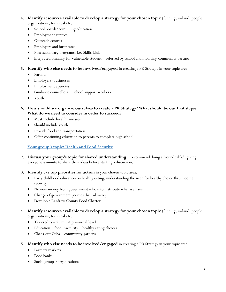- 4. **Identify resources available to develop a strategy for your chosen topic** (funding, in-kind, people, organizations, technical etc.)
	- School boards/continuing education
	- Employment centres
	- Outreach centres
	- Employers and businesses
	- Post-secondary programs, i.e. Skills Link
	- Integrated planning for vulnerable student referred by school and involving community partner
- 5. **Identify who else needs to be involved/engaged** in creating a PR Strategy in your topic area.
	- Parents
	- Employers/businesses
	- Employment agencies
	- Guidance counsellors + school support workers
	- Youth
- 6. **How should we organize ourselves to create a PR Strategy? What should be our first steps? What do we need to consider in order to succeed?**
	- Must include local businesses
	- Should include youth
	- Provide food and transportation
	- Offer continuing education to parents to complete high school

#### 1. **Your group's topic: Health and Food Security**

- 2. **Discuss your group's topic for shared understanding**. I recommend doing a 'round table', giving everyone a minute to share their ideas before starting a discussion.
- 3. **Identify 3-5 top priorities for action** in your chosen topic area.
	- Early childhood education on healthy eating, understanding the need for healthy choice thru income security
	- No new money from government how to distribute what we have
	- Change of government policies thru advocacy
	- Develop a Renfrew County Food Charter
- 4. **Identify resources available to develop a strategy for your chosen topic** (funding, in-kind, people, organizations, technical etc.)
	- Tax credits 25 mil at provincial level
	- Education food insecurity healthy eating choices
	- Check out Cuba community gardens
- 5. **Identify who else needs to be involved/engaged** in creating a PR Strategy in your topic area.
	- Farmers markets
	- Food banks
	- Social groups/organizations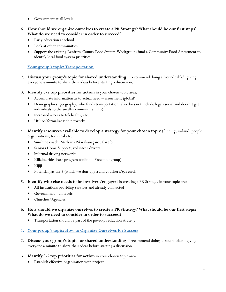- Government at all levels
- 6. **How should we organize ourselves to create a PR Strategy? What should be our first steps? What do we need to consider in order to succeed?**
	- Early education at school
	- Look at other communities
	- Support the existing Renfrew County Food System Workgroup/fund a Community Food Assessment to identify local food system priorities
- 1. **Your group's topic: Transportation**
- 2. **Discuss your group's topic for shared understanding**. I recommend doing a 'round table', giving everyone a minute to share their ideas before starting a discussion.
- 3. **Identify 3-5 top priorities for action** in your chosen topic area.
	- Accumulate information as to actual need assessment (global)
	- Demographics, geography, who funds transportation (also does not include legal/social and doesn't get individuals to the smaller community hubs)
	- $\bullet$  Increased access to telehealth, etc.
	- Utilize/formalize ride networks
- 4. **Identify resources available to develop a strategy for your chosen topic** (funding, in-kind, people, organizations, technical etc.)
	- Sunshine coach, Medvan (Pikwakanagan), Carefor
	- Seniors Home Support, volunteer drivers
	- Informal driving networks
	- Killaloe ride share program (online Facebook group)
	- Kijiji
	- Potential gas tax \$ (which we don't get) and vouchers/gas cards
- 5. **Identify who else needs to be involved/engaged** in creating a PR Strategy in your topic area.
	- All institutions providing services and already connected
	- $\bullet$  Government all levels
	- Churches/Agencies
- 6. **How should we organize ourselves to create a PR Strategy? What should be our first steps? What do we need to consider in order to succeed?**
	- Transportation should be part of the poverty reduction strategy
- **1. Your group's topic: How to Organize Ourselves for Success**
- 2. **Discuss your group's topic for shared understanding**. I recommend doing a 'round table', giving everyone a minute to share their ideas before starting a discussion.
- 3. **Identify 3-5 top priorities for action** in your chosen topic area.
	- Establish effective organization with project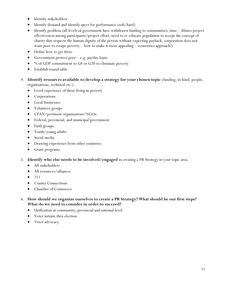- Identify stakeholders
- Identify demand and identify specs for performance (soft/hard)
- $\bullet$  Identify problem (all levels of government have withdrawn funding to communities, time dilutes project effectiveness among participants/project effort, need to re-educate population to accept the concept of charity that respects the human dignity of the person without expecting payback, corporation does not want poor to escape poverty – how to make it more appealing – economics approach?)
- Define how to get there
- Government protect poor  $-e.g.$  payday loans
- % of GDP commitment to G8 or G20 to eliminate poverty
- Establish round table
- 4. **Identify resources available to develop a strategy for your chosen topic** (funding, in-kind, people, organizations, technical etc.)
	- Lived experience of those living in poverty
	- Corporations
	- Local businesses
	- Volunteer groups
	- CPAN/pertinent organizations/NGOs
	- Federal, provincial, and municipal government
	- Faith groups
	- Youth/young adults
	- Social media
	- Drawing experience from other countries
	- Grant programs
- 5. **Identify who else needs to be involved/engaged** in creating a PR Strategy in your topic area.
	- All stakeholders
	- All resources/alliances
	- $211$
	- County Connections
	- Chamber of Commerce
- 6. **How should we organize ourselves to create a PR Strategy? What should be our first steps? What do we need to consider in order to succeed?**
	- Unification at community, provincial and national level
	- Voter initiate thru election
	- Voter advocacy